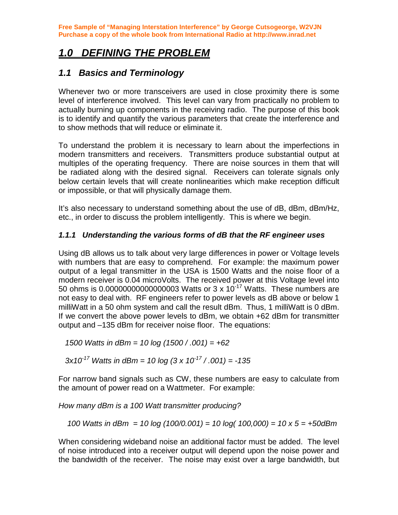# *1.0 DEFINING THE PROBLEM*

### *1.1 Basics and Terminology*

Whenever two or more transceivers are used in close proximity there is some level of interference involved. This level can vary from practically no problem to actually burning up components in the receiving radio. The purpose of this book is to identify and quantify the various parameters that create the interference and to show methods that will reduce or eliminate it.

To understand the problem it is necessary to learn about the imperfections in modern transmitters and receivers. Transmitters produce substantial output at multiples of the operating frequency. There are noise sources in them that will be radiated along with the desired signal. Receivers can tolerate signals only below certain levels that will create nonlinearities which make reception difficult or impossible, or that will physically damage them.

It's also necessary to understand something about the use of dB, dBm, dBm/Hz, etc., in order to discuss the problem intelligently. This is where we begin.

#### *1.1.1 Understanding the various forms of dB that the RF engineer uses*

Using dB allows us to talk about very large differences in power or Voltage levels with numbers that are easy to comprehend. For example: the maximum power output of a legal transmitter in the USA is 1500 Watts and the noise floor of a modern receiver is 0.04 microVolts. The received power at this Voltage level into 50 ohms is 0.000000000000000003 Watts or 3 x 10<sup>-17</sup> Watts. These numbers are not easy to deal with. RF engineers refer to power levels as dB above or below 1 milliWatt in a 50 ohm system and call the result dBm. Thus, 1 milliWatt is 0 dBm. If we convert the above power levels to dBm, we obtain +62 dBm for transmitter output and –135 dBm for receiver noise floor. The equations:

*1500 Watts in dBm = 10 log (1500 / .001) = +62* 

 *3x10-17 Watts in dBm = 10 log (3 x 10-17 / .001) = -135* 

For narrow band signals such as CW, these numbers are easy to calculate from the amount of power read on a Wattmeter. For example:

*How many dBm is a 100 Watt transmitter producing?* 

 *100 Watts in dBm = 10 log (100/0.001) = 10 log( 100,000) = 10 x 5 = +50dBm* 

When considering wideband noise an additional factor must be added. The level of noise introduced into a receiver output will depend upon the noise power and the bandwidth of the receiver. The noise may exist over a large bandwidth, but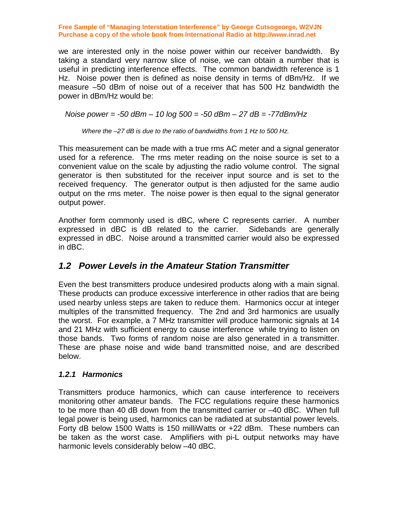we are interested only in the noise power within our receiver bandwidth. By taking a standard very narrow slice of noise, we can obtain a number that is useful in predicting interference effects. The common bandwidth reference is 1 Hz. Noise power then is defined as noise density in terms of dBm/Hz. If we measure –50 dBm of noise out of a receiver that has 500 Hz bandwidth the power in dBm/Hz would be:

 *Noise power = -50 dBm – 10 log 500 = -50 dBm – 27 dB = -77dBm/Hz* 

 *Where the –27 dB is due to the ratio of bandwidths from 1 Hz to 500 Hz.* 

This measurement can be made with a true rms AC meter and a signal generator used for a reference. The rms meter reading on the noise source is set to a convenient value on the scale by adjusting the radio volume control. The signal generator is then substituted for the receiver input source and is set to the received frequency. The generator output is then adjusted for the same audio output on the rms meter. The noise power is then equal to the signal generator output power.

Another form commonly used is dBC, where C represents carrier. A number expressed in dBC is dB related to the carrier. Sidebands are generally expressed in dBC. Noise around a transmitted carrier would also be expressed in dBC.

## *1.2 Power Levels in the Amateur Station Transmitter*

Even the best transmitters produce undesired products along with a main signal. These products can produce excessive interference in other radios that are being used nearby unless steps are taken to reduce them. Harmonics occur at integer multiples of the transmitted frequency. The 2nd and 3rd harmonics are usually the worst. For example, a 7 MHz transmitter will produce harmonic signals at 14 and 21 MHz with sufficient energy to cause interference while trying to listen on those bands. Two forms of random noise are also generated in a transmitter. These are phase noise and wide band transmitted noise, and are described below.

#### *1.2.1 Harmonics*

Transmitters produce harmonics, which can cause interference to receivers monitoring other amateur bands. The FCC regulations require these harmonics to be more than 40 dB down from the transmitted carrier or –40 dBC. When full legal power is being used, harmonics can be radiated at substantial power levels. Forty dB below 1500 Watts is 150 milliWatts or +22 dBm. These numbers can be taken as the worst case. Amplifiers with pi-L output networks may have harmonic levels considerably below –40 dBC.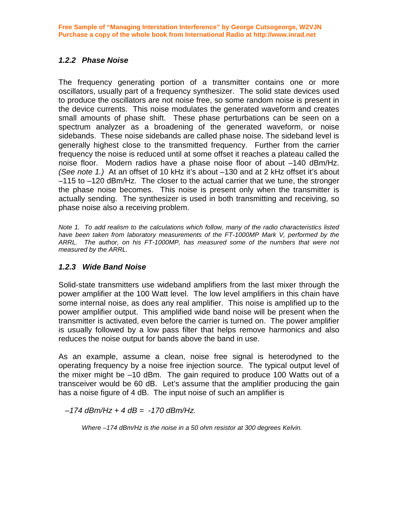#### *1.2.2 Phase Noise*

The frequency generating portion of a transmitter contains one or more oscillators, usually part of a frequency synthesizer. The solid state devices used to produce the oscillators are not noise free, so some random noise is present in the device currents. This noise modulates the generated waveform and creates small amounts of phase shift. These phase perturbations can be seen on a spectrum analyzer as a broadening of the generated waveform, or noise sidebands. These noise sidebands are called phase noise. The sideband level is generally highest close to the transmitted frequency. Further from the carrier frequency the noise is reduced until at some offset it reaches a plateau called the noise floor. Modern radios have a phase noise floor of about –140 dBm/Hz. *(See note 1.)* At an offset of 10 kHz it's about –130 and at 2 kHz offset it's about –115 to –120 dBm/Hz. The closer to the actual carrier that we tune, the stronger the phase noise becomes. This noise is present only when the transmitter is actually sending. The synthesizer is used in both transmitting and receiving, so phase noise also a receiving problem.

*Note 1. To add realism to the calculations which follow, many of the radio characteristics listed have been taken from laboratory measurements of the FT-1000MP Mark V, performed by the ARRL. The author, on his FT-1000MP, has measured some of the numbers that were not measured by the ARRL.* 

#### *1.2.3 Wide Band Noise*

Solid-state transmitters use wideband amplifiers from the last mixer through the power amplifier at the 100 Watt level. The low level amplifiers in this chain have some internal noise, as does any real amplifier. This noise is amplified up to the power amplifier output. This amplified wide band noise will be present when the transmitter is activated, even before the carrier is turned on. The power amplifier is usually followed by a low pass filter that helps remove harmonics and also reduces the noise output for bands above the band in use.

As an example, assume a clean, noise free signal is heterodyned to the operating frequency by a noise free injection source. The typical output level of the mixer might be –10 dBm. The gain required to produce 100 Watts out of a transceiver would be 60 dB. Let's assume that the amplifier producing the gain has a noise figure of 4 dB. The input noise of such an amplifier is

 *–174 dBm/Hz + 4 dB = -170 dBm/Hz.* 

 *Where –174 dBm/Hz is the noise in a 50 ohm resistor at 300 degrees Kelvin.*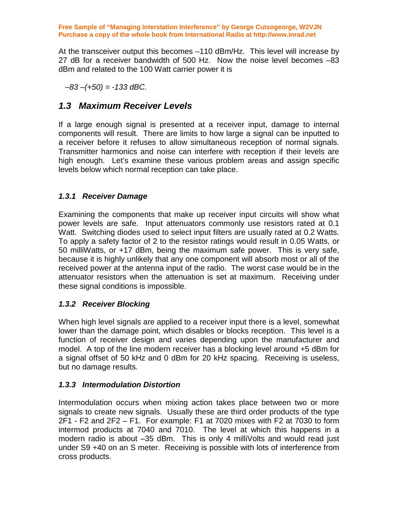At the transceiver output this becomes –110 dBm/Hz. This level will increase by 27 dB for a receiver bandwidth of 500 Hz. Now the noise level becomes –83 dBm and related to the 100 Watt carrier power it is

 *–83 –(+50) = -133 dBC.* 

### *1.3 Maximum Receiver Levels*

If a large enough signal is presented at a receiver input, damage to internal components will result. There are limits to how large a signal can be inputted to a receiver before it refuses to allow simultaneous reception of normal signals. Transmitter harmonics and noise can interfere with reception if their levels are high enough. Let's examine these various problem areas and assign specific levels below which normal reception can take place.

#### *1.3.1 Receiver Damage*

Examining the components that make up receiver input circuits will show what power levels are safe. Input attenuators commonly use resistors rated at 0.1 Watt. Switching diodes used to select input filters are usually rated at 0.2 Watts. To apply a safety factor of 2 to the resistor ratings would result in 0.05 Watts, or 50 milliWatts, or +17 dBm, being the maximum safe power. This is very safe, because it is highly unlikely that any one component will absorb most or all of the received power at the antenna input of the radio. The worst case would be in the attenuator resistors when the attenuation is set at maximum. Receiving under these signal conditions is impossible.

#### *1.3.2 Receiver Blocking*

When high level signals are applied to a receiver input there is a level, somewhat lower than the damage point, which disables or blocks reception. This level is a function of receiver design and varies depending upon the manufacturer and model. A top of the line modern receiver has a blocking level around +5 dBm for a signal offset of 50 kHz and 0 dBm for 20 kHz spacing. Receiving is useless, but no damage results.

#### *1.3.3 Intermodulation Distortion*

Intermodulation occurs when mixing action takes place between two or more signals to create new signals. Usually these are third order products of the type 2F1 - F2 and 2F2 – F1. For example: F1 at 7020 mixes with F2 at 7030 to form intermod products at 7040 and 7010. The level at which this happens in a modern radio is about –35 dBm. This is only 4 milliVolts and would read just under S9 +40 on an S meter. Receiving is possible with lots of interference from cross products.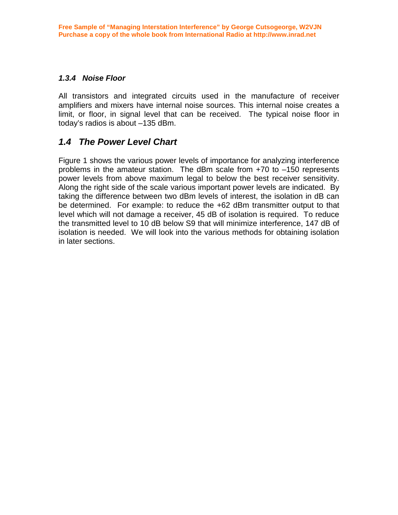#### *1.3.4 Noise Floor*

All transistors and integrated circuits used in the manufacture of receiver amplifiers and mixers have internal noise sources. This internal noise creates a limit, or floor, in signal level that can be received. The typical noise floor in today's radios is about –135 dBm.

### *1.4 The Power Level Chart*

Figure 1 shows the various power levels of importance for analyzing interference problems in the amateur station. The dBm scale from +70 to –150 represents power levels from above maximum legal to below the best receiver sensitivity. Along the right side of the scale various important power levels are indicated. By taking the difference between two dBm levels of interest, the isolation in dB can be determined. For example: to reduce the +62 dBm transmitter output to that level which will not damage a receiver, 45 dB of isolation is required. To reduce the transmitted level to 10 dB below S9 that will minimize interference, 147 dB of isolation is needed. We will look into the various methods for obtaining isolation in later sections.